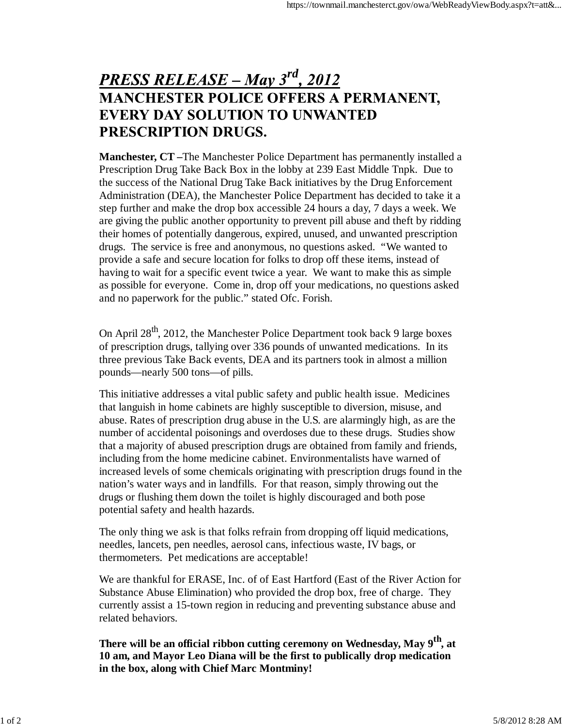## **PRESS RELEASE – May 3<sup>rd</sup>, 2012 MANCHESTER POLICE OFFERS A PERMANENT, EVERY DAY SOLUTION TO UNWANTED** PRESCRIPTION DRUGS.

**Manchester, CT –**The Manchester Police Department has permanently installed a Prescription Drug Take Back Box in the lobby at 239 East Middle Tnpk. Due to the success of the National Drug Take Back initiatives by the Drug Enforcement Administration (DEA), the Manchester Police Department has decided to take it a step further and make the drop box accessible 24 hours a day, 7 days a week. We are giving the public another opportunity to prevent pill abuse and theft by ridding their homes of potentially dangerous, expired, unused, and unwanted prescription drugs. The service is free and anonymous, no questions asked. "We wanted to provide a safe and secure location for folks to drop off these items, instead of having to wait for a specific event twice a year. We want to make this as simple as possible for everyone. Come in, drop off your medications, no questions asked and no paperwork for the public." stated Ofc. Forish.

On April  $28^{th}$ , 2012, the Manchester Police Department took back 9 large boxes of prescription drugs, tallying over 336 pounds of unwanted medications. In its three previous Take Back events, DEA and its partners took in almost a million pounds—nearly 500 tons—of pills.

This initiative addresses a vital public safety and public health issue. Medicines that languish in home cabinets are highly susceptible to diversion, misuse, and abuse. Rates of prescription drug abuse in the U.S. are alarmingly high, as are the number of accidental poisonings and overdoses due to these drugs. Studies show that a majority of abused prescription drugs are obtained from family and friends, including from the home medicine cabinet. Environmentalists have warned of increased levels of some chemicals originating with prescription drugs found in the nation's water ways and in landfills. For that reason, simply throwing out the drugs or flushing them down the toilet is highly discouraged and both pose potential safety and health hazards.

The only thing we ask is that folks refrain from dropping off liquid medications, needles, lancets, pen needles, aerosol cans, infectious waste, IV bags, or thermometers. Pet medications are acceptable!

We are thankful for ERASE, Inc. of of East Hartford (East of the River Action for Substance Abuse Elimination) who provided the drop box, free of charge. They currently assist a 15-town region in reducing and preventing substance abuse and related behaviors.

**There will be an official ribbon cutting ceremony on Wednesday, May 9th, at 10 am, and Mayor Leo Diana will be the first to publically drop medication in the box, along with Chief Marc Montminy!**